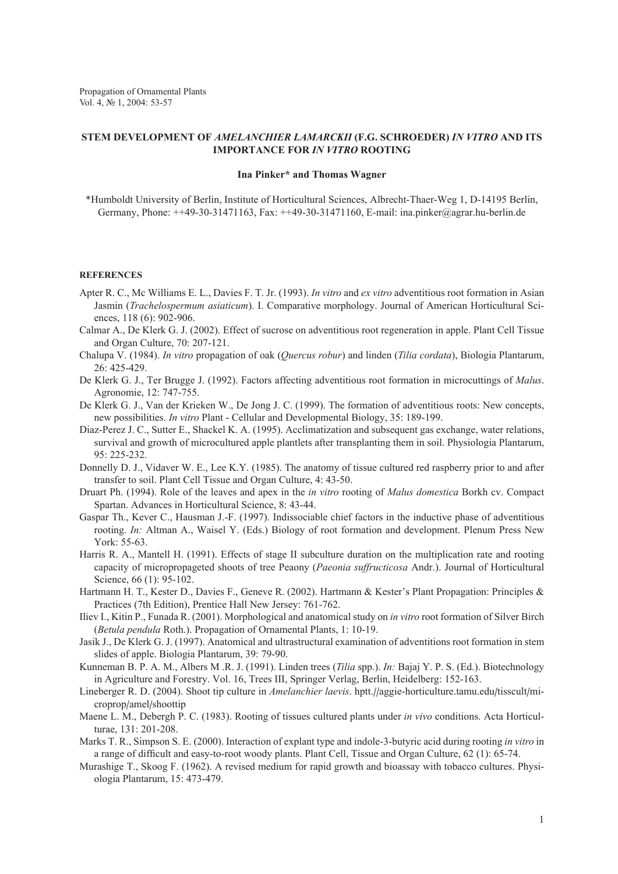Propagation of Ornamental Plants Vol. 4, № 1, 2004: 53-57

## **Stem development of** *Amelanchier lamarckii* **(F.G. Schroeder)** *in vitro* **and its importance for** *in vitro* **rooting**

## **Ina Pinker\* and Thomas Wagner**

\*Humboldt University of Berlin, Institute of Horticultural Sciences, Albrecht-Thaer-Weg 1, D-14195 Berlin, Germany, Phone: ++49-30-31471163, Fax: ++49-30-31471160, E-mail: ina.pinker@agrar.hu-berlin.de

## **References**

- Apter R. C., Mc Williams E. L., Davies F. T. Jr. (1993). *In vitro* and *ex vitro* adventitious root formation in Asian Jasmin (*Trachelospermum asiaticum*). I. Comparative morphology. Journal of American Horticultural Sciences, 118 (6): 902-906.
- Calmar A., De Klerk G. J. (2002). Effect of sucrose on adventitious root regeneration in apple. Plant Cell Tissue and Organ Culture, 70: 207-121.
- Chalupa V. (1984). *In vitro* propagation of oak (*Quercus robur*) and linden (*Tilia cordata*), Biologia Plantarum, 26: 425-429.
- De Klerk G. J., Ter Brugge J. (1992). Factors affecting adventitious root formation in microcuttings of *Malus*. Agronomie, 12: 747-755.
- De Klerk G. J., Van der Krieken W., De Jong J. C. (1999). The formation of adventitious roots: New concepts, new possibilities. *In vitro* Plant - Cellular and Developmental Biology, 35: 189-199.
- Diaz-Perez J. C., Sutter E., Shackel K. A. (1995). Acclimatization and subsequent gas exchange, water relations, survival and growth of microcultured apple plantlets after transplanting them in soil. Physiologia Plantarum, 95: 225-232.
- Donnelly D. J., Vidaver W. E., Lee K.Y. (1985). The anatomy of tissue cultured red raspberry prior to and after transfer to soil. Plant Cell Tissue and Organ Culture, 4: 43-50.
- Druart Ph. (1994). Role of the leaves and apex in the *in vitro* rooting of *Malus domestica* Borkh cv. Compact Spartan. Advances in Horticultural Science, 8: 43-44.
- Gaspar Th., Kever C., Hausman J.-F. (1997). Indissociable chief factors in the inductive phase of adventitious rooting. *In:* Altman A., Waisel Y. (Eds.) Biology of root formation and development. Plenum Press New York: 55-63.
- Harris R. A., Mantell H. (1991). Effects of stage II subculture duration on the multiplication rate and rooting capacity of micropropageted shoots of tree Peaony (*Paeonia suffructicosa* Andr.). Journal of Horticultural Science, 66 (1): 95-102.
- Hartmann H. T., Kester D., Davies F., Geneve R. (2002). Hartmann & Kester's Plant Propagation: Principles & Practices (7th Edition), Prentice Hall New Jersey: 761-762.
- Iliev I., Kitin P., Funada R. (2001). Morphological and anatomical study on *in vitro* root formation of Silver Birch (*Betula pendula* Roth.). Propagation of Ornamental Plants, 1: 10-19.
- Jasik J., De Klerk G. J. (1997). Anatomical and ultrastructural examination of adventitions root formation in stem slides of apple. Biologia Plantarum, 39: 79-90.
- Kunneman B. P. A. M., Albers M .R. J. (1991). Linden trees (*Tilia* spp.). *In:* Bajaj Y. P. S. (Ed.). Biotechnology in Agriculture and Forestry. Vol. 16, Trees III, Springer Verlag, Berlin, Heidelberg: 152-163.
- Lineberger R. D. (2004). Shoot tip culture in *Amelanchier laevis*. hptt.//aggie-horticulture.tamu.edu/tisscult/microprop/amel/shoottip
- Maene L. M., Debergh P. C. (1983). Rooting of tissues cultured plants under *in vivo* conditions. Acta Horticulturae, 131: 201-208.
- Marks T. R., Simpson S. E. (2000). Interaction of explant type and indole-3-butyric acid during rooting *in vitro* in a range of difficult and easy-to-root woody plants. Plant Cell, Tissue and Organ Culture, 62 (1): 65-74.
- Murashige T., Skoog F. (1962). A revised medium for rapid growth and bioassay with tobacco cultures. Physiologia Plantarum, 15: 473-479.